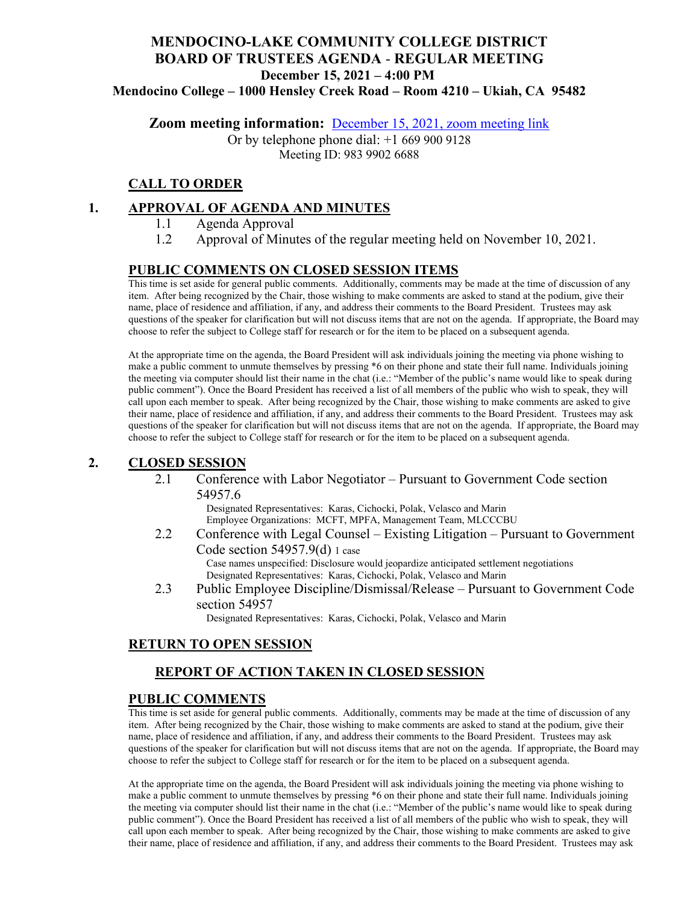# **MENDOCINO-LAKE COMMUNITY COLLEGE DISTRICT BOARD OF TRUSTEES AGENDA** - **REGULAR MEETING December 15, 2021 – 4:00 PM**

**Mendocino College – 1000 Hensley Creek Road – Room 4210 – Ukiah, CA 95482**

**Zoom meeting information:** December 15, 2021, [zoom meeting link](https://mendocino-edu.zoom.us/j/98399026688)

Or by telephone phone dial: +1 669 900 9128 Meeting ID: 983 9902 6688

### **CALL TO ORDER**

#### **1. APPROVAL OF AGENDA AND MINUTES**

- 1.1 Agenda Approval
- 1.2 Approval of Minutes of the regular meeting held on November 10, 2021.

#### **PUBLIC COMMENTS ON CLOSED SESSION ITEMS**

This time is set aside for general public comments. Additionally, comments may be made at the time of discussion of any item. After being recognized by the Chair, those wishing to make comments are asked to stand at the podium, give their name, place of residence and affiliation, if any, and address their comments to the Board President. Trustees may ask questions of the speaker for clarification but will not discuss items that are not on the agenda. If appropriate, the Board may choose to refer the subject to College staff for research or for the item to be placed on a subsequent agenda.

At the appropriate time on the agenda, the Board President will ask individuals joining the meeting via phone wishing to make a public comment to unmute themselves by pressing \*6 on their phone and state their full name. Individuals joining the meeting via computer should list their name in the chat (i.e.: "Member of the public's name would like to speak during public comment"). Once the Board President has received a list of all members of the public who wish to speak, they will call upon each member to speak. After being recognized by the Chair, those wishing to make comments are asked to give their name, place of residence and affiliation, if any, and address their comments to the Board President. Trustees may ask questions of the speaker for clarification but will not discuss items that are not on the agenda. If appropriate, the Board may choose to refer the subject to College staff for research or for the item to be placed on a subsequent agenda.

#### **2. CLOSED SESSION**

2.1 Conference with Labor Negotiator – Pursuant to Government Code section 54957.6

> Designated Representatives: Karas, Cichocki, Polak, Velasco and Marin Employee Organizations: MCFT, MPFA, Management Team, MLCCCBU

- 2.2 Conference with Legal Counsel Existing Litigation Pursuant to Government Code section 54957.9(d) 1 case Case names unspecified: Disclosure would jeopardize anticipated settlement negotiations Designated Representatives: Karas, Cichocki, Polak, Velasco and Marin
- 2.3 Public Employee Discipline/Dismissal/Release Pursuant to Government Code section 54957

Designated Representatives: Karas, Cichocki, Polak, Velasco and Marin

#### **RETURN TO OPEN SESSION**

### **REPORT OF ACTION TAKEN IN CLOSED SESSION**

#### **PUBLIC COMMENTS**

This time is set aside for general public comments. Additionally, comments may be made at the time of discussion of any item. After being recognized by the Chair, those wishing to make comments are asked to stand at the podium, give their name, place of residence and affiliation, if any, and address their comments to the Board President. Trustees may ask questions of the speaker for clarification but will not discuss items that are not on the agenda. If appropriate, the Board may choose to refer the subject to College staff for research or for the item to be placed on a subsequent agenda.

At the appropriate time on the agenda, the Board President will ask individuals joining the meeting via phone wishing to make a public comment to unmute themselves by pressing \*6 on their phone and state their full name. Individuals joining the meeting via computer should list their name in the chat (i.e.: "Member of the public's name would like to speak during public comment"). Once the Board President has received a list of all members of the public who wish to speak, they will call upon each member to speak. After being recognized by the Chair, those wishing to make comments are asked to give their name, place of residence and affiliation, if any, and address their comments to the Board President. Trustees may ask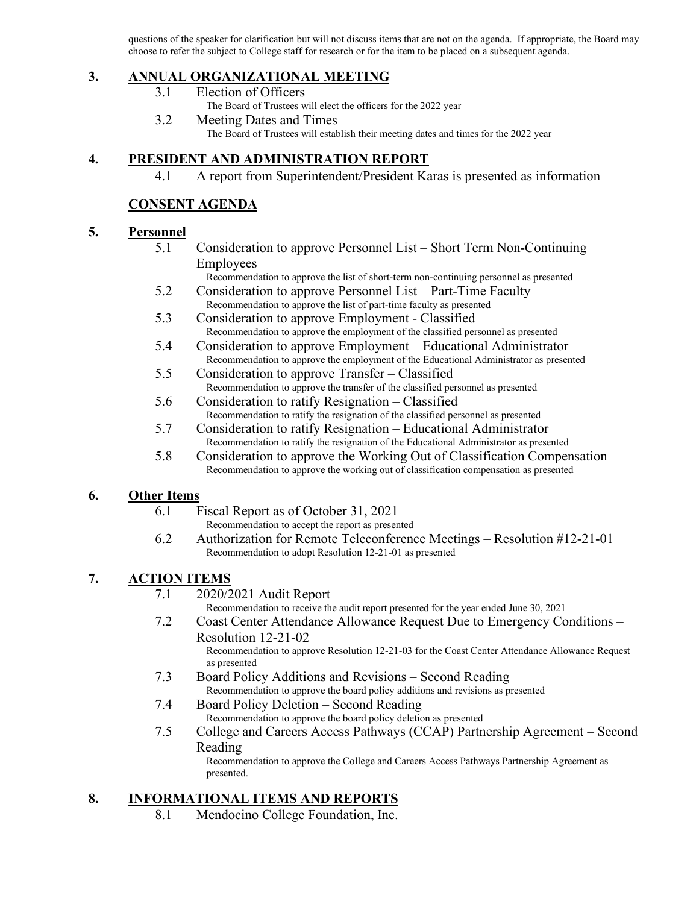questions of the speaker for clarification but will not discuss items that are not on the agenda. If appropriate, the Board may choose to refer the subject to College staff for research or for the item to be placed on a subsequent agenda.

### **3. ANNUAL ORGANIZATIONAL MEETING**

- 3.1 Election of Officers
	- The Board of Trustees will elect the officers for the 2022 year
- 3.2 Meeting Dates and Times The Board of Trustees will establish their meeting dates and times for the 2022 year

### **4. PRESIDENT AND ADMINISTRATION REPORT**

4.1 A report from Superintendent/President Karas is presented as information

### **CONSENT AGENDA**

#### **5. Personnel**

- 5.1 Consideration to approve Personnel List Short Term Non-Continuing Employees
	- Recommendation to approve the list of short-term non-continuing personnel as presented
- 5.2 Consideration to approve Personnel List Part-Time Faculty Recommendation to approve the list of part-time faculty as presented
- 5.3 Consideration to approve Employment Classified Recommendation to approve the employment of the classified personnel as presented
- 5.4 Consideration to approve Employment Educational Administrator Recommendation to approve the employment of the Educational Administrator as presented
- 5.5 Consideration to approve Transfer Classified Recommendation to approve the transfer of the classified personnel as presented
- 5.6 Consideration to ratify Resignation Classified Recommendation to ratify the resignation of the classified personnel as presented
- 5.7 Consideration to ratify Resignation Educational Administrator Recommendation to ratify the resignation of the Educational Administrator as presented
- 5.8 Consideration to approve the Working Out of Classification Compensation Recommendation to approve the working out of classification compensation as presented

### **6. Other Items**

- 6.1 Fiscal Report as of October 31, 2021
	- Recommendation to accept the report as presented
- 6.2 Authorization for Remote Teleconference Meetings Resolution #12-21-01 Recommendation to adopt Resolution 12-21-01 as presented

### **7. ACTION ITEMS**

7.1 2020/2021 Audit Report

Recommendation to receive the audit report presented for the year ended June 30, 2021

- 7.2 Coast Center Attendance Allowance Request Due to Emergency Conditions Resolution 12-21-02 Recommendation to approve Resolution 12-21-03 for the Coast Center Attendance Allowance Request as presented
- 7.3 Board Policy Additions and Revisions Second Reading Recommendation to approve the board policy additions and revisions as presented
- 7.4 Board Policy Deletion Second Reading Recommendation to approve the board policy deletion as presented
- 7.5 College and Careers Access Pathways (CCAP) Partnership Agreement Second Reading

Recommendation to approve the College and Careers Access Pathways Partnership Agreement as presented.

## **8. INFORMATIONAL ITEMS AND REPORTS**

8.1 Mendocino College Foundation, Inc.